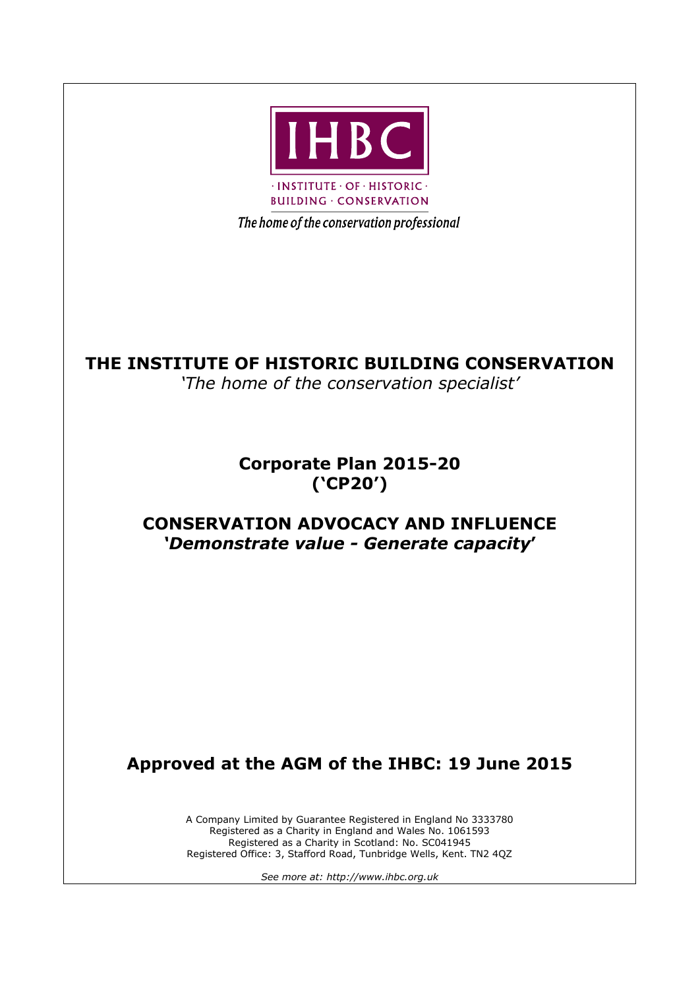

The home of the conservation professional

### **THE INSTITUTE OF HISTORIC BUILDING CONSERVATION**

*'The home of the conservation specialist'*

### **Corporate Plan 2015-20 ('CP20')**

### **CONSERVATION ADVOCACY AND INFLUENCE** *'Demonstrate value - Generate capacity***'**

## **Approved at the AGM of the IHBC: 19 June 2015**

A Company Limited by Guarantee Registered in England No 3333780 Registered as a Charity in England and Wales No. 1061593 Registered as a Charity in Scotland: No. SC041945 Registered Office: 3, Stafford Road, Tunbridge Wells, Kent. TN2 4QZ

*See more at: http://www.ihbc.org.uk*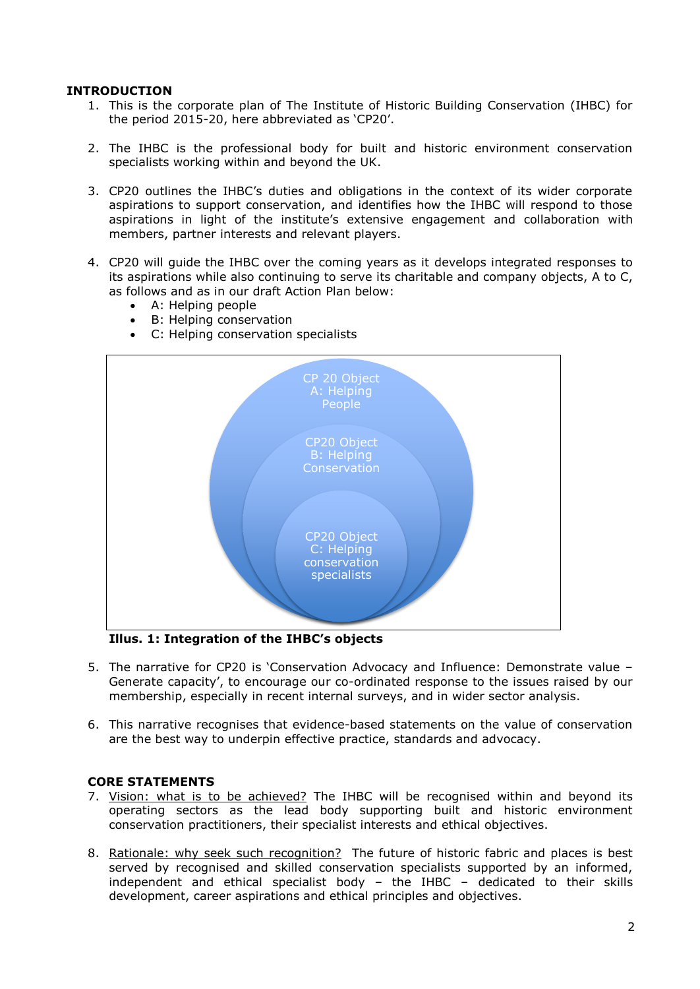#### **INTRODUCTION**

- 1. This is the corporate plan of The Institute of Historic Building Conservation (IHBC) for the period 2015-20, here abbreviated as 'CP20'.
- 2. The IHBC is the professional body for built and historic environment conservation specialists working within and beyond the UK.
- 3. CP20 outlines the IHBC's duties and obligations in the context of its wider corporate aspirations to support conservation, and identifies how the IHBC will respond to those aspirations in light of the institute's extensive engagement and collaboration with members, partner interests and relevant players.
- 4. CP20 will guide the IHBC over the coming years as it develops integrated responses to its aspirations while also continuing to serve its charitable and company objects, A to C, as follows and as in our draft Action Plan below:
	- A: Helping people
	- B: Helping conservation
	- C: Helping conservation specialists



**Illus. 1: Integration of the IHBC's objects**

- 5. The narrative for CP20 is 'Conservation Advocacy and Influence: Demonstrate value Generate capacity', to encourage our co-ordinated response to the issues raised by our membership, especially in recent internal surveys, and in wider sector analysis.
- 6. This narrative recognises that evidence-based statements on the value of conservation are the best way to underpin effective practice, standards and advocacy.

#### **CORE STATEMENTS**

- 7. Vision: what is to be achieved? The IHBC will be recognised within and beyond its operating sectors as the lead body supporting built and historic environment conservation practitioners, their specialist interests and ethical objectives.
- 8. Rationale: why seek such recognition? The future of historic fabric and places is best served by recognised and skilled conservation specialists supported by an informed, independent and ethical specialist body – the IHBC – dedicated to their skills development, career aspirations and ethical principles and objectives.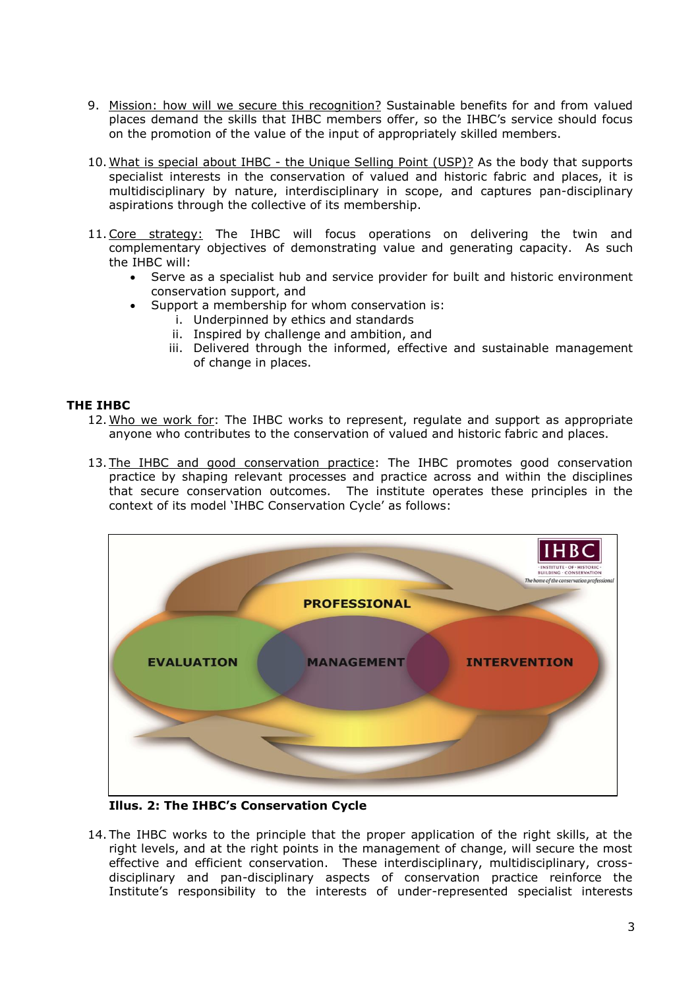- 9. Mission: how will we secure this recognition? Sustainable benefits for and from valued places demand the skills that IHBC members offer, so the IHBC's service should focus on the promotion of the value of the input of appropriately skilled members.
- 10. What is special about IHBC the Unique Selling Point (USP)? As the body that supports specialist interests in the conservation of valued and historic fabric and places, it is multidisciplinary by nature, interdisciplinary in scope, and captures pan-disciplinary aspirations through the collective of its membership.
- 11.Core strategy: The IHBC will focus operations on delivering the twin and complementary objectives of demonstrating value and generating capacity. As such the IHBC will:
	- Serve as a specialist hub and service provider for built and historic environment conservation support, and
		- Support a membership for whom conservation is:
			- i. Underpinned by ethics and standards
				- ii. Inspired by challenge and ambition, and
			- iii. Delivered through the informed, effective and sustainable management of change in places.

#### **THE IHBC**

- 12. Who we work for: The IHBC works to represent, regulate and support as appropriate anyone who contributes to the conservation of valued and historic fabric and places.
- 13. The IHBC and good conservation practice: The IHBC promotes good conservation practice by shaping relevant processes and practice across and within the disciplines that secure conservation outcomes. The institute operates these principles in the context of its model 'IHBC Conservation Cycle' as follows:



**Illus. 2: The IHBC's Conservation Cycle**

14. The IHBC works to the principle that the proper application of the right skills, at the right levels, and at the right points in the management of change, will secure the most effective and efficient conservation. These interdisciplinary, multidisciplinary, crossdisciplinary and pan-disciplinary aspects of conservation practice reinforce the Institute's responsibility to the interests of under-represented specialist interests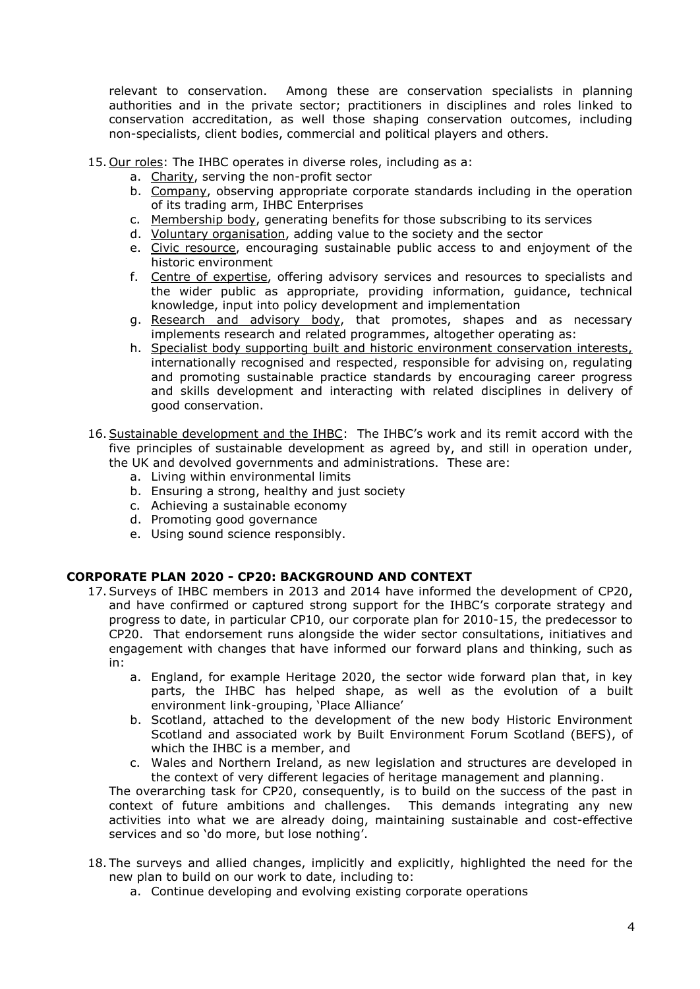relevant to conservation. Among these are conservation specialists in planning authorities and in the private sector; practitioners in disciplines and roles linked to conservation accreditation, as well those shaping conservation outcomes, including non-specialists, client bodies, commercial and political players and others.

- 15. Our roles: The IHBC operates in diverse roles, including as a:
	- a. Charity, serving the non-profit sector
	- b. Company, observing appropriate corporate standards including in the operation of its trading arm, IHBC Enterprises
	- c. Membership body, generating benefits for those subscribing to its services
	- d. Voluntary organisation, adding value to the society and the sector
	- e. Civic resource, encouraging sustainable public access to and enjoyment of the historic environment
	- f. Centre of expertise, offering advisory services and resources to specialists and the wider public as appropriate, providing information, guidance, technical knowledge, input into policy development and implementation
	- g. Research and advisory body, that promotes, shapes and as necessary implements research and related programmes, altogether operating as:
	- h. Specialist body supporting built and historic environment conservation interests, internationally recognised and respected, responsible for advising on, regulating and promoting sustainable practice standards by encouraging career progress and skills development and interacting with related disciplines in delivery of good conservation.
- 16.Sustainable development and the IHBC: The IHBC's work and its remit accord with the five principles of sustainable development as agreed by, and still in operation under, the UK and devolved governments and administrations. These are:
	- a. Living within environmental limits
	- b. Ensuring a strong, healthy and just society
	- c. Achieving a sustainable economy
	- d. Promoting good governance
	- e. Using sound science responsibly.

#### **CORPORATE PLAN 2020 - CP20: BACKGROUND AND CONTEXT**

- 17.Surveys of IHBC members in 2013 and 2014 have informed the development of CP20, and have confirmed or captured strong support for the IHBC's corporate strategy and progress to date, in particular CP10, our corporate plan for 2010-15, the predecessor to CP20. That endorsement runs alongside the wider sector consultations, initiatives and engagement with changes that have informed our forward plans and thinking, such as in:
	- a. England, for example Heritage 2020, the sector wide forward plan that, in key parts, the IHBC has helped shape, as well as the evolution of a built environment link-grouping, 'Place Alliance'
	- b. Scotland, attached to the development of the new body Historic Environment Scotland and associated work by Built Environment Forum Scotland (BEFS), of which the IHBC is a member, and
	- c. Wales and Northern Ireland, as new legislation and structures are developed in the context of very different legacies of heritage management and planning.

The overarching task for CP20, consequently, is to build on the success of the past in context of future ambitions and challenges. This demands integrating any new activities into what we are already doing, maintaining sustainable and cost-effective services and so 'do more, but lose nothing'.

- 18. The surveys and allied changes, implicitly and explicitly, highlighted the need for the new plan to build on our work to date, including to:
	- a. Continue developing and evolving existing corporate operations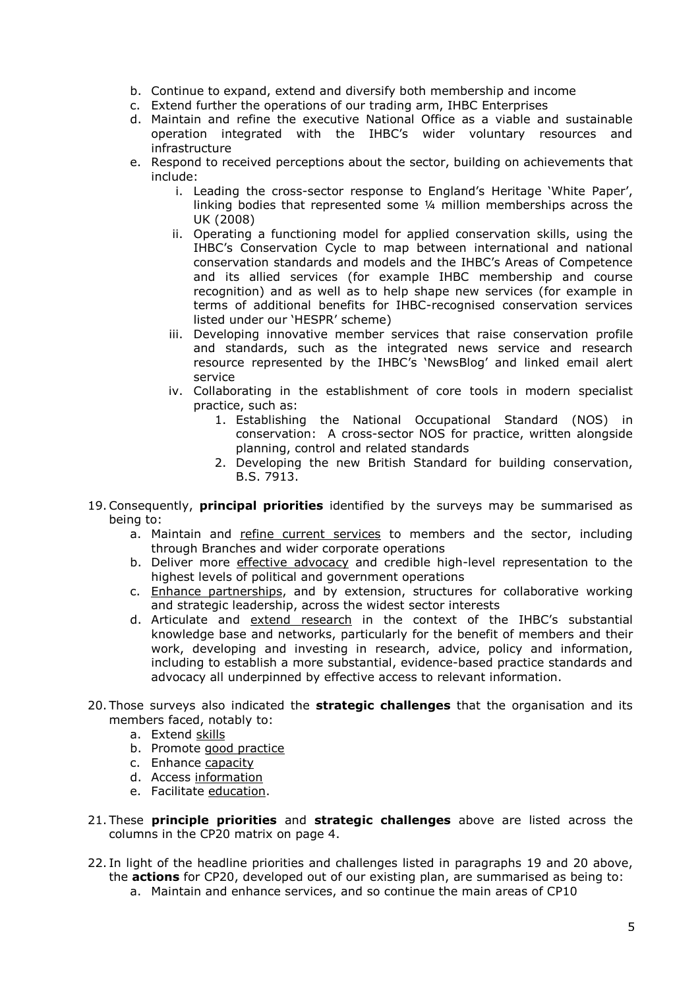- b. Continue to expand, extend and diversify both membership and income
- c. Extend further the operations of our trading arm, IHBC Enterprises
- d. Maintain and refine the executive National Office as a viable and sustainable operation integrated with the IHBC's wider voluntary resources and infrastructure
- e. Respond to received perceptions about the sector, building on achievements that include:
	- i. Leading the cross-sector response to England's Heritage 'White Paper', linking bodies that represented some ¼ million memberships across the UK (2008)
	- ii. Operating a functioning model for applied conservation skills, using the IHBC's Conservation Cycle to map between international and national conservation standards and models and the IHBC's Areas of Competence and its allied services (for example IHBC membership and course recognition) and as well as to help shape new services (for example in terms of additional benefits for IHBC-recognised conservation services listed under our 'HESPR' scheme)
	- iii. Developing innovative member services that raise conservation profile and standards, such as the integrated news service and research resource represented by the IHBC's 'NewsBlog' and linked email alert service
	- iv. Collaborating in the establishment of core tools in modern specialist practice, such as:
		- 1. Establishing the National Occupational Standard (NOS) in conservation: A cross-sector NOS for practice, written alongside planning, control and related standards
		- 2. Developing the new British Standard for building conservation, B.S. 7913.
- 19.Consequently, **principal priorities** identified by the surveys may be summarised as being to:
	- a. Maintain and refine current services to members and the sector, including through Branches and wider corporate operations
	- b. Deliver more effective advocacy and credible high-level representation to the highest levels of political and government operations
	- c. Enhance partnerships, and by extension, structures for collaborative working and strategic leadership, across the widest sector interests
	- d. Articulate and extend research in the context of the IHBC's substantial knowledge base and networks, particularly for the benefit of members and their work, developing and investing in research, advice, policy and information, including to establish a more substantial, evidence-based practice standards and advocacy all underpinned by effective access to relevant information.
- 20. Those surveys also indicated the **strategic challenges** that the organisation and its members faced, notably to:
	- a. Extend skills
	- b. Promote good practice
	- c. Enhance capacity
	- d. Access information
	- e. Facilitate education.
- 21. These **principle priorities** and **strategic challenges** above are listed across the columns in the CP20 matrix on page 4.
- 22. In light of the headline priorities and challenges listed in paragraphs 19 and 20 above, the **actions** for CP20, developed out of our existing plan, are summarised as being to:
	- a. Maintain and enhance services, and so continue the main areas of CP10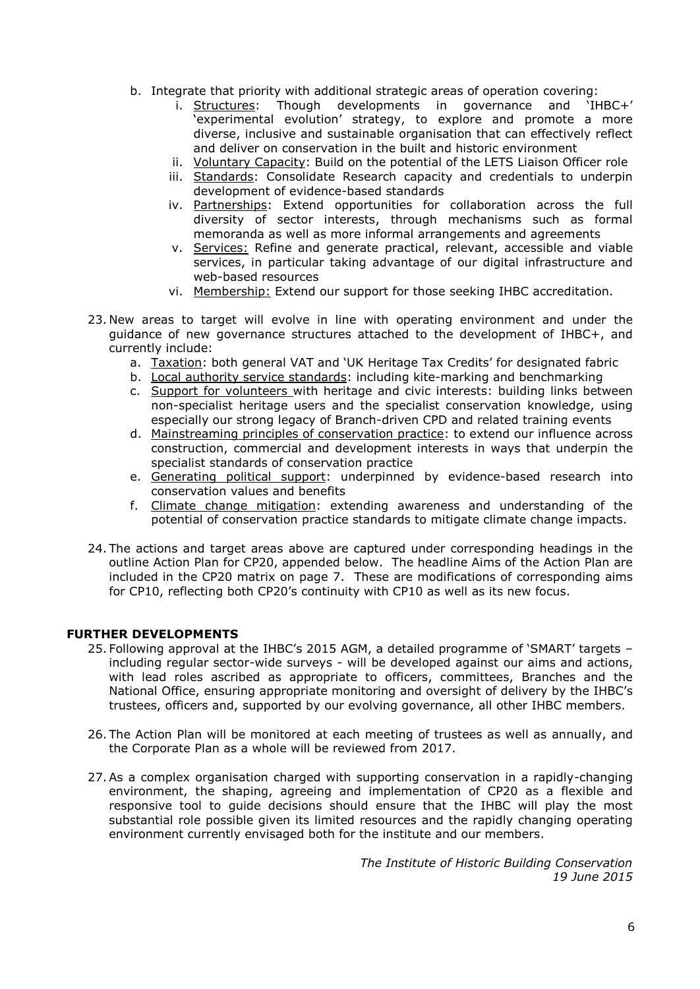- b. Integrate that priority with additional strategic areas of operation covering:
	- i. Structures: Though developments in governance and 'IHBC+' 'experimental evolution' strategy, to explore and promote a more diverse, inclusive and sustainable organisation that can effectively reflect and deliver on conservation in the built and historic environment
	- ii. Voluntary Capacity: Build on the potential of the LETS Liaison Officer role
	- iii. Standards: Consolidate Research capacity and credentials to underpin development of evidence-based standards
	- iv. Partnerships: Extend opportunities for collaboration across the full diversity of sector interests, through mechanisms such as formal memoranda as well as more informal arrangements and agreements
	- v. Services: Refine and generate practical, relevant, accessible and viable services, in particular taking advantage of our digital infrastructure and web-based resources
	- vi. Membership: Extend our support for those seeking IHBC accreditation.
- 23. New areas to target will evolve in line with operating environment and under the guidance of new governance structures attached to the development of IHBC+, and currently include:
	- a. Taxation: both general VAT and 'UK Heritage Tax Credits' for designated fabric
	- b. Local authority service standards: including kite-marking and benchmarking
	- c. Support for volunteers with heritage and civic interests: building links between non-specialist heritage users and the specialist conservation knowledge, using especially our strong legacy of Branch-driven CPD and related training events
	- d. Mainstreaming principles of conservation practice: to extend our influence across construction, commercial and development interests in ways that underpin the specialist standards of conservation practice
	- e. Generating political support: underpinned by evidence-based research into conservation values and benefits
	- f. Climate change mitigation: extending awareness and understanding of the potential of conservation practice standards to mitigate climate change impacts.
- 24. The actions and target areas above are captured under corresponding headings in the outline Action Plan for CP20, appended below. The headline Aims of the Action Plan are included in the CP20 matrix on page 7. These are modifications of corresponding aims for CP10, reflecting both CP20's continuity with CP10 as well as its new focus.

#### **FURTHER DEVELOPMENTS**

- 25. Following approval at the IHBC's 2015 AGM, a detailed programme of 'SMART' targets including regular sector-wide surveys - will be developed against our aims and actions, with lead roles ascribed as appropriate to officers, committees, Branches and the National Office, ensuring appropriate monitoring and oversight of delivery by the IHBC's trustees, officers and, supported by our evolving governance, all other IHBC members.
- 26. The Action Plan will be monitored at each meeting of trustees as well as annually, and the Corporate Plan as a whole will be reviewed from 2017.
- 27.As a complex organisation charged with supporting conservation in a rapidly-changing environment, the shaping, agreeing and implementation of CP20 as a flexible and responsive tool to guide decisions should ensure that the IHBC will play the most substantial role possible given its limited resources and the rapidly changing operating environment currently envisaged both for the institute and our members.

*The Institute of Historic Building Conservation 19 June 2015*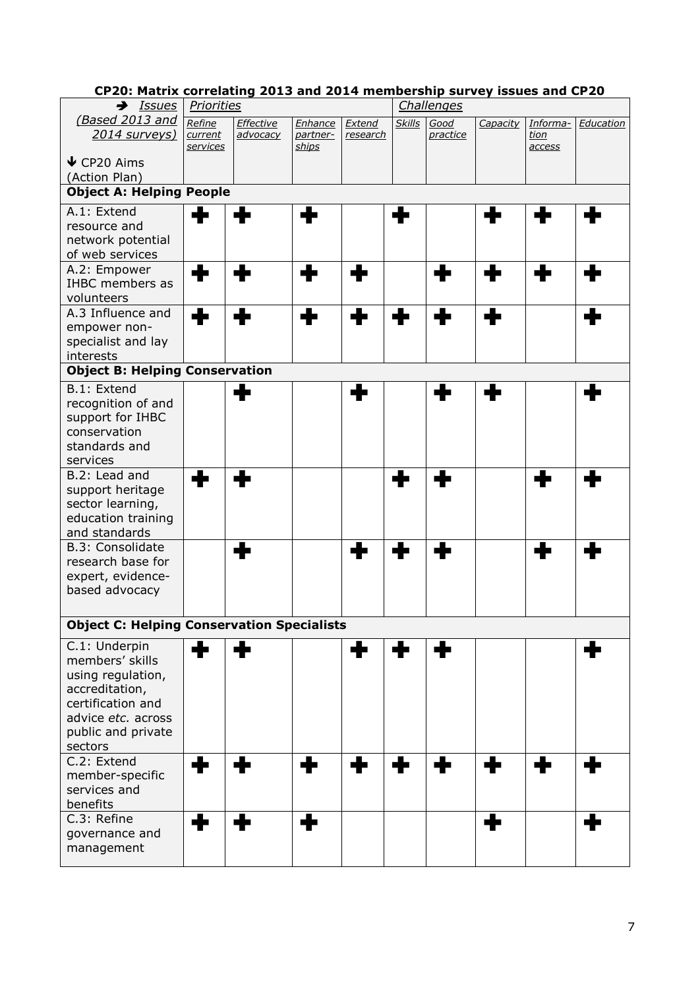| CPZ0: Matrix correlating 2015 and 2014 membership survey issues and CPZ0 |                 |           |          |          |               |            |             |               |           |
|--------------------------------------------------------------------------|-----------------|-----------|----------|----------|---------------|------------|-------------|---------------|-----------|
| →<br><b>Issues</b>                                                       | Priorities      |           |          |          |               | Challenges |             |               |           |
| (Based 2013 and                                                          | Refine          | Effective | Enhance  | Extend   | <b>Skills</b> | Good       | Capacity    | Informa-      | Education |
| <u>2014 surveys)</u>                                                     | current         | advocacy  | partner- | research |               | practice   |             | <u>tion</u>   |           |
|                                                                          | <u>services</u> |           | ships    |          |               |            |             | <u>access</u> |           |
| $\blacktriangleright$ CP20 Aims                                          |                 |           |          |          |               |            |             |               |           |
| (Action Plan)                                                            |                 |           |          |          |               |            |             |               |           |
| <b>Object A: Helping People</b>                                          |                 |           |          |          |               |            |             |               |           |
| A.1: Extend                                                              |                 |           | ۰        |          |               |            |             |               | ш         |
| resource and                                                             | ÷               |           |          |          |               |            | $\bigoplus$ |               |           |
| network potential                                                        |                 |           |          |          |               |            |             |               |           |
| of web services                                                          |                 |           |          |          |               |            |             |               |           |
| A.2: Empower                                                             |                 |           |          |          |               |            |             |               |           |
| <b>IHBC</b> members as                                                   |                 |           |          |          |               |            |             |               |           |
| volunteers                                                               |                 |           |          |          |               |            |             |               |           |
| A.3 Influence and                                                        |                 |           |          |          |               |            |             |               |           |
|                                                                          | ╋               |           |          |          |               |            |             |               |           |
| empower non-                                                             |                 |           |          |          |               |            |             |               |           |
| specialist and lay                                                       |                 |           |          |          |               |            |             |               |           |
| interests                                                                |                 |           |          |          |               |            |             |               |           |
| <b>Object B: Helping Conservation</b>                                    |                 |           |          |          |               |            |             |               |           |
| B.1: Extend                                                              |                 | ┻         |          |          |               | ┹          | ۰           |               |           |
| recognition of and                                                       |                 |           |          |          |               |            |             |               |           |
| support for IHBC                                                         |                 |           |          |          |               |            |             |               |           |
| conservation                                                             |                 |           |          |          |               |            |             |               |           |
| standards and                                                            |                 |           |          |          |               |            |             |               |           |
| services                                                                 |                 |           |          |          |               |            |             |               |           |
| B.2: Lead and                                                            | ┹               |           |          |          |               |            |             | ▟▙            |           |
| support heritage                                                         |                 |           |          |          |               |            |             |               |           |
| sector learning,                                                         |                 |           |          |          |               |            |             |               |           |
| education training                                                       |                 |           |          |          |               |            |             |               |           |
| and standards                                                            |                 |           |          |          |               |            |             |               |           |
| B.3: Consolidate                                                         |                 |           |          | ╋        |               |            |             | ♣             |           |
| research base for                                                        |                 |           |          |          |               |            |             |               |           |
| expert, evidence-                                                        |                 |           |          |          |               |            |             |               |           |
| based advocacy                                                           |                 |           |          |          |               |            |             |               |           |
|                                                                          |                 |           |          |          |               |            |             |               |           |
| <b>Object C: Helping Conservation Specialists</b>                        |                 |           |          |          |               |            |             |               |           |
| C.1: Underpin                                                            | ╋               | ╋         |          | ╋        | ╋             | ╋          |             |               |           |
| members' skills                                                          |                 |           |          |          |               |            |             |               |           |
| using regulation,                                                        |                 |           |          |          |               |            |             |               |           |
| accreditation,                                                           |                 |           |          |          |               |            |             |               |           |
| certification and                                                        |                 |           |          |          |               |            |             |               |           |
| advice etc. across                                                       |                 |           |          |          |               |            |             |               |           |
| public and private                                                       |                 |           |          |          |               |            |             |               |           |
| sectors                                                                  |                 |           |          |          |               |            |             |               |           |
| C.2: Extend                                                              |                 |           |          |          |               |            |             |               |           |
| member-specific                                                          | ÷               | ╋         | ٠        | ╋        | +             |            | ÷           | ♣             |           |
| services and                                                             |                 |           |          |          |               |            |             |               |           |
| benefits                                                                 |                 |           |          |          |               |            |             |               |           |
| C.3: Refine                                                              |                 |           |          |          |               |            |             |               |           |
| governance and                                                           | ╋               | ╋         | ╋        |          |               |            | ф           |               | ÷         |
| management                                                               |                 |           |          |          |               |            |             |               |           |
|                                                                          |                 |           |          |          |               |            |             |               |           |

### **CP20: Matrix correlating 2013 and 2014 membership survey issues and CP20**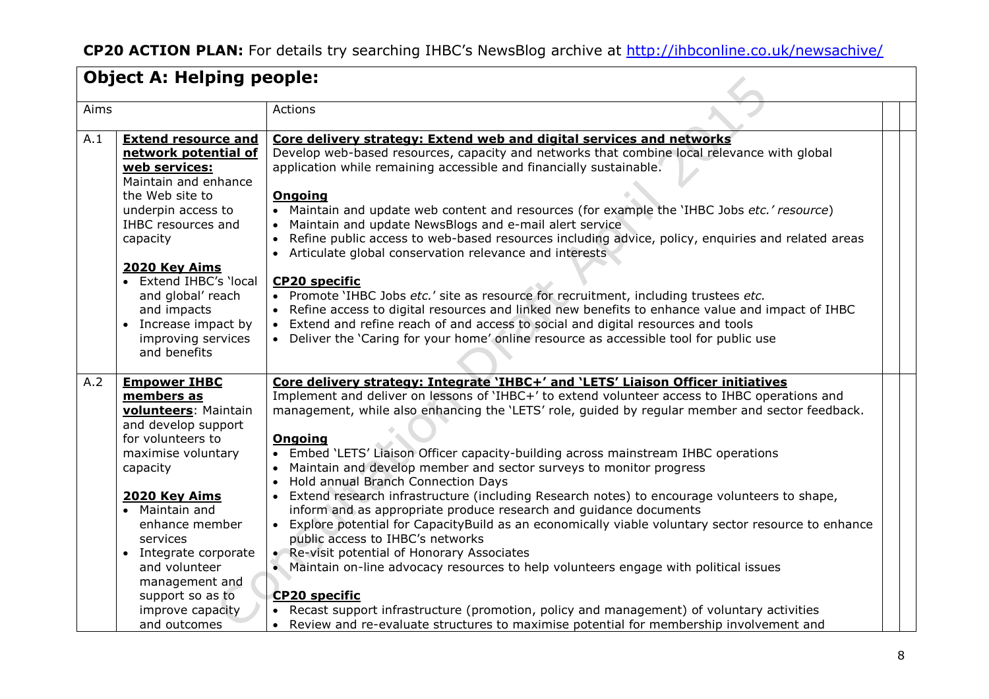|      | <b>Object A: Helping people:</b>                                                                                                                                                                                                                                                                                                        |                                                                                                                                                                                                                                                                                                                                                                                                                                                                                                                                                                                                                                                                                                                                                                                                                                                                                                                                                                                                                                                                                                                                                                                  |
|------|-----------------------------------------------------------------------------------------------------------------------------------------------------------------------------------------------------------------------------------------------------------------------------------------------------------------------------------------|----------------------------------------------------------------------------------------------------------------------------------------------------------------------------------------------------------------------------------------------------------------------------------------------------------------------------------------------------------------------------------------------------------------------------------------------------------------------------------------------------------------------------------------------------------------------------------------------------------------------------------------------------------------------------------------------------------------------------------------------------------------------------------------------------------------------------------------------------------------------------------------------------------------------------------------------------------------------------------------------------------------------------------------------------------------------------------------------------------------------------------------------------------------------------------|
| Aims |                                                                                                                                                                                                                                                                                                                                         | Actions                                                                                                                                                                                                                                                                                                                                                                                                                                                                                                                                                                                                                                                                                                                                                                                                                                                                                                                                                                                                                                                                                                                                                                          |
| A.1  | <b>Extend resource and</b><br>network potential of<br>web services:<br>Maintain and enhance<br>the Web site to<br>underpin access to<br>IHBC resources and<br>capacity<br>2020 Key Aims<br>Extend IHBC's 'local<br>and global' reach<br>and impacts<br>Increase impact by<br>improving services<br>and benefits                         | Core delivery strategy: Extend web and digital services and networks<br>Develop web-based resources, capacity and networks that combine local relevance with global<br>application while remaining accessible and financially sustainable.<br><b>Ongoing</b><br>• Maintain and update web content and resources (for example the 'IHBC Jobs etc.' resource)<br>Maintain and update NewsBlogs and e-mail alert service<br>Refine public access to web-based resources including advice, policy, enquiries and related areas<br>• Articulate global conservation relevance and interests<br><b>CP20 specific</b><br>• Promote 'IHBC Jobs etc.' site as resource for recruitment, including trustees etc.<br>• Refine access to digital resources and linked new benefits to enhance value and impact of IHBC<br>• Extend and refine reach of and access to social and digital resources and tools<br>• Deliver the 'Caring for your home' online resource as accessible tool for public use                                                                                                                                                                                        |
| A.2  | <b>Empower IHBC</b><br>members as<br>volunteers: Maintain<br>and develop support<br>for volunteers to<br>maximise voluntary<br>capacity<br>2020 Key Aims<br>Maintain and<br>$\bullet$<br>enhance member<br>services<br>• Integrate corporate<br>and volunteer<br>management and<br>support so as to<br>improve capacity<br>and outcomes | Core delivery strategy: Integrate 'IHBC+' and 'LETS' Liaison Officer initiatives<br>Implement and deliver on lessons of 'IHBC+' to extend volunteer access to IHBC operations and<br>management, while also enhancing the 'LETS' role, guided by regular member and sector feedback.<br><b>Ongoing</b><br>• Embed 'LETS' Liaison Officer capacity-building across mainstream IHBC operations<br>Maintain and develop member and sector surveys to monitor progress<br>Hold annual Branch Connection Days<br>Extend research infrastructure (including Research notes) to encourage volunteers to shape,<br>inform and as appropriate produce research and guidance documents<br>• Explore potential for CapacityBuild as an economically viable voluntary sector resource to enhance<br>public access to IHBC's networks<br>• Re-visit potential of Honorary Associates<br>. Maintain on-line advocacy resources to help volunteers engage with political issues<br><b>CP20 specific</b><br>• Recast support infrastructure (promotion, policy and management) of voluntary activities<br>Review and re-evaluate structures to maximise potential for membership involvement and |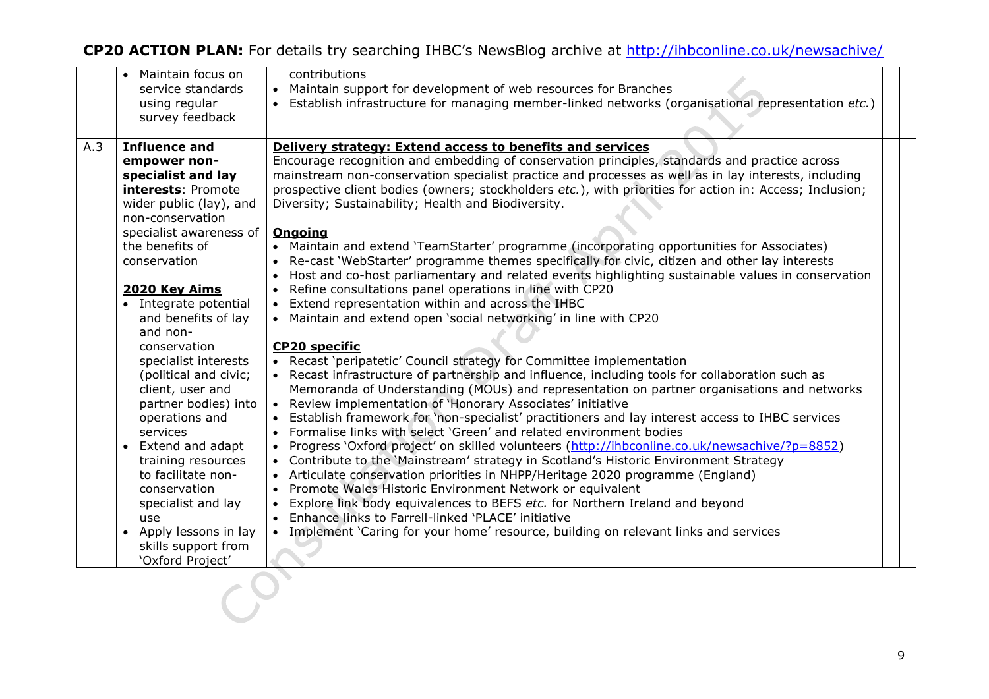|     | Maintain focus on<br>service standards<br>using regular<br>survey feedback                                                                                                                                                                                                                                                                                                                                                                                                                                                                                                | contributions<br>• Maintain support for development of web resources for Branches<br>· Establish infrastructure for managing member-linked networks (organisational representation etc.)                                                                                                                                                                                                                                                                                                                                                                                                                                                                                                                                                                                                                                                                                                                                                                                                                                                                                                                                                                                                                                                                                                                                                                                                                                                                                                                                                                                                                                                                                                                                                                                                                                                                                                                                                                                                                                                                      |  |
|-----|---------------------------------------------------------------------------------------------------------------------------------------------------------------------------------------------------------------------------------------------------------------------------------------------------------------------------------------------------------------------------------------------------------------------------------------------------------------------------------------------------------------------------------------------------------------------------|---------------------------------------------------------------------------------------------------------------------------------------------------------------------------------------------------------------------------------------------------------------------------------------------------------------------------------------------------------------------------------------------------------------------------------------------------------------------------------------------------------------------------------------------------------------------------------------------------------------------------------------------------------------------------------------------------------------------------------------------------------------------------------------------------------------------------------------------------------------------------------------------------------------------------------------------------------------------------------------------------------------------------------------------------------------------------------------------------------------------------------------------------------------------------------------------------------------------------------------------------------------------------------------------------------------------------------------------------------------------------------------------------------------------------------------------------------------------------------------------------------------------------------------------------------------------------------------------------------------------------------------------------------------------------------------------------------------------------------------------------------------------------------------------------------------------------------------------------------------------------------------------------------------------------------------------------------------------------------------------------------------------------------------------------------------|--|
| A.3 | <b>Influence and</b><br>empower non-<br>specialist and lay<br>interests: Promote<br>wider public (lay), and<br>non-conservation<br>specialist awareness of<br>the benefits of<br>conservation<br>2020 Key Aims<br>• Integrate potential<br>and benefits of lay<br>and non-<br>conservation<br>specialist interests<br>(political and civic;<br>client, user and<br>partner bodies) into<br>operations and<br>services<br>• Extend and adapt<br>training resources<br>to facilitate non-<br>conservation<br>specialist and lay<br>use<br>Apply lessons in lay<br>$\bullet$ | Delivery strategy: Extend access to benefits and services<br>Encourage recognition and embedding of conservation principles, standards and practice across<br>mainstream non-conservation specialist practice and processes as well as in lay interests, including<br>prospective client bodies (owners; stockholders etc.), with priorities for action in: Access; Inclusion;<br>Diversity; Sustainability; Health and Biodiversity.<br><b>Ongoing</b><br>• Maintain and extend 'TeamStarter' programme (incorporating opportunities for Associates)<br>Re-cast 'WebStarter' programme themes specifically for civic, citizen and other lay interests<br>Host and co-host parliamentary and related events highlighting sustainable values in conservation<br>Refine consultations panel operations in line with CP20<br>Extend representation within and across the IHBC<br>• Maintain and extend open 'social networking' in line with CP20<br><b>CP20 specific</b><br>• Recast 'peripatetic' Council strategy for Committee implementation<br>• Recast infrastructure of partnership and influence, including tools for collaboration such as<br>Memoranda of Understanding (MOUs) and representation on partner organisations and networks<br>• Review implementation of 'Honorary Associates' initiative<br>Establish framework for 'non-specialist' practitioners and lay interest access to IHBC services<br>Formalise links with select 'Green' and related environment bodies<br>Progress 'Oxford project' on skilled volunteers (http://ihbconline.co.uk/newsachive/?p=8852)<br>• Contribute to the 'Mainstream' strategy in Scotland's Historic Environment Strategy<br>• Articulate conservation priorities in NHPP/Heritage 2020 programme (England)<br>Promote Wales Historic Environment Network or equivalent<br>Explore link body equivalences to BEFS etc. for Northern Ireland and beyond<br>• Enhance links to Farrell-linked 'PLACE' initiative<br>• Implement 'Caring for your home' resource, building on relevant links and services |  |
|     | skills support from<br>'Oxford Project'                                                                                                                                                                                                                                                                                                                                                                                                                                                                                                                                   |                                                                                                                                                                                                                                                                                                                                                                                                                                                                                                                                                                                                                                                                                                                                                                                                                                                                                                                                                                                                                                                                                                                                                                                                                                                                                                                                                                                                                                                                                                                                                                                                                                                                                                                                                                                                                                                                                                                                                                                                                                                               |  |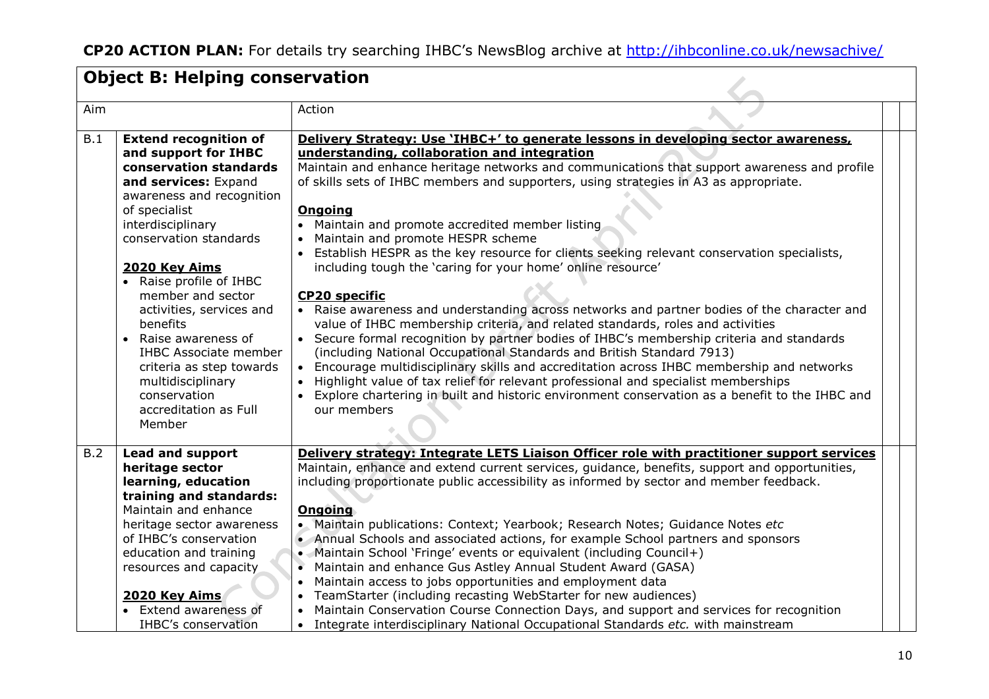|     | <b>Object B: Helping conservation</b>                                                                                                                                                                                                                                                                                                                                                                                                                                  |                                                                                                                                                                                                                                                                                                                                                                                                                                                                                                                                                                                                                                                                                                                                                                                                                                                                                                                                                                                                                                                                                                                                                                                                                                                                                                 |
|-----|------------------------------------------------------------------------------------------------------------------------------------------------------------------------------------------------------------------------------------------------------------------------------------------------------------------------------------------------------------------------------------------------------------------------------------------------------------------------|-------------------------------------------------------------------------------------------------------------------------------------------------------------------------------------------------------------------------------------------------------------------------------------------------------------------------------------------------------------------------------------------------------------------------------------------------------------------------------------------------------------------------------------------------------------------------------------------------------------------------------------------------------------------------------------------------------------------------------------------------------------------------------------------------------------------------------------------------------------------------------------------------------------------------------------------------------------------------------------------------------------------------------------------------------------------------------------------------------------------------------------------------------------------------------------------------------------------------------------------------------------------------------------------------|
| Aim |                                                                                                                                                                                                                                                                                                                                                                                                                                                                        | Action                                                                                                                                                                                                                                                                                                                                                                                                                                                                                                                                                                                                                                                                                                                                                                                                                                                                                                                                                                                                                                                                                                                                                                                                                                                                                          |
| B.1 | <b>Extend recognition of</b><br>and support for IHBC<br>conservation standards<br>and services: Expand<br>awareness and recognition<br>of specialist<br>interdisciplinary<br>conservation standards<br>2020 Key Aims<br>• Raise profile of IHBC<br>member and sector<br>activities, services and<br>benefits<br>Raise awareness of<br><b>IHBC Associate member</b><br>criteria as step towards<br>multidisciplinary<br>conservation<br>accreditation as Full<br>Member | Delivery Strategy: Use 'IHBC+' to generate lessons in developing sector awareness,<br>understanding, collaboration and integration<br>Maintain and enhance heritage networks and communications that support awareness and profile<br>of skills sets of IHBC members and supporters, using strategies in A3 as appropriate.<br><b>Ongoing</b><br>• Maintain and promote accredited member listing<br>• Maintain and promote HESPR scheme<br>• Establish HESPR as the key resource for clients seeking relevant conservation specialists,<br>including tough the 'caring for your home' online resource'<br><b>CP20 specific</b><br>• Raise awareness and understanding across networks and partner bodies of the character and<br>value of IHBC membership criteria, and related standards, roles and activities<br>• Secure formal recognition by partner bodies of IHBC's membership criteria and standards<br>(including National Occupational Standards and British Standard 7913)<br>• Encourage multidisciplinary skills and accreditation across IHBC membership and networks<br>• Highlight value of tax relief for relevant professional and specialist memberships<br>• Explore chartering in built and historic environment conservation as a benefit to the IHBC and<br>our members |
| B.2 | <b>Lead and support</b><br>heritage sector<br>learning, education<br>training and standards:<br>Maintain and enhance<br>heritage sector awareness<br>of IHBC's conservation<br>education and training<br>resources and capacity<br>2020 Key Aims<br><b>Extend awareness of</b><br><b>IHBC's conservation</b>                                                                                                                                                           | <b>Delivery strategy: Integrate LETS Liaison Officer role with practitioner support services</b><br>Maintain, enhance and extend current services, guidance, benefits, support and opportunities,<br>including proportionate public accessibility as informed by sector and member feedback.<br><b>Ongoing</b><br>• Maintain publications: Context; Yearbook; Research Notes; Guidance Notes etc<br>• Annual Schools and associated actions, for example School partners and sponsors<br>• Maintain School 'Fringe' events or equivalent (including Council+)<br>Maintain and enhance Gus Astley Annual Student Award (GASA)<br>• Maintain access to jobs opportunities and employment data<br>• TeamStarter (including recasting WebStarter for new audiences)<br>• Maintain Conservation Course Connection Days, and support and services for recognition<br>• Integrate interdisciplinary National Occupational Standards etc. with mainstream                                                                                                                                                                                                                                                                                                                                               |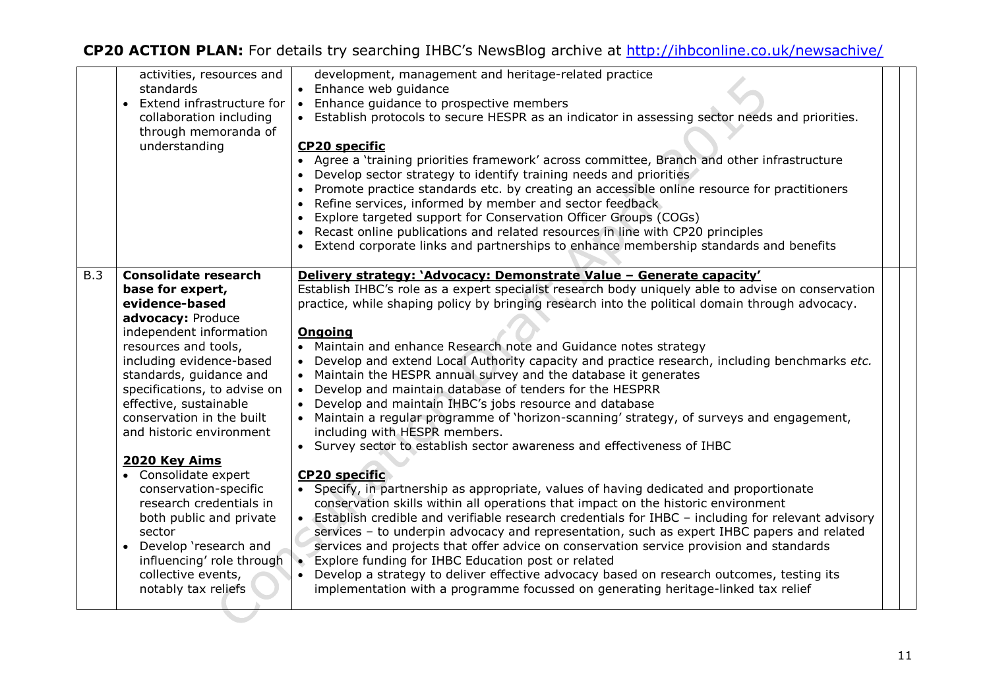|     | activities, resources and<br>standards<br>• Extend infrastructure for<br>collaboration including<br>through memoranda of<br>understanding                                                                                                                                                                                                                                                                                                                                                                                                                  | development, management and heritage-related practice<br>• Enhance web guidance<br>• Enhance guidance to prospective members<br>• Establish protocols to secure HESPR as an indicator in assessing sector needs and priorities.<br><b>CP20 specific</b><br>• Agree a 'training priorities framework' across committee, Branch and other infrastructure<br>Develop sector strategy to identify training needs and priorities<br>Promote practice standards etc. by creating an accessible online resource for practitioners<br>Refine services, informed by member and sector feedback<br>• Explore targeted support for Conservation Officer Groups (COGs)<br>• Recast online publications and related resources in line with CP20 principles<br>• Extend corporate links and partnerships to enhance membership standards and benefits                                                                                                                                                                                                                                                                                                                                                                                                                                                                                                                                                                                                                                                                                                                                                                                 |  |
|-----|------------------------------------------------------------------------------------------------------------------------------------------------------------------------------------------------------------------------------------------------------------------------------------------------------------------------------------------------------------------------------------------------------------------------------------------------------------------------------------------------------------------------------------------------------------|-------------------------------------------------------------------------------------------------------------------------------------------------------------------------------------------------------------------------------------------------------------------------------------------------------------------------------------------------------------------------------------------------------------------------------------------------------------------------------------------------------------------------------------------------------------------------------------------------------------------------------------------------------------------------------------------------------------------------------------------------------------------------------------------------------------------------------------------------------------------------------------------------------------------------------------------------------------------------------------------------------------------------------------------------------------------------------------------------------------------------------------------------------------------------------------------------------------------------------------------------------------------------------------------------------------------------------------------------------------------------------------------------------------------------------------------------------------------------------------------------------------------------------------------------------------------------------------------------------------------------|--|
| B.3 | <b>Consolidate research</b><br>base for expert,<br>evidence-based<br>advocacy: Produce<br>independent information<br>resources and tools,<br>including evidence-based<br>standards, guidance and<br>specifications, to advise on<br>effective, sustainable<br>conservation in the built<br>and historic environment<br>2020 Key Aims<br>• Consolidate expert<br>conservation-specific<br>research credentials in<br>both public and private<br>sector<br>• Develop 'research and<br>influencing' role through<br>collective events,<br>notably tax reliefs | Delivery strategy: 'Advocacy: Demonstrate Value - Generate capacity'<br>Establish IHBC's role as a expert specialist research body uniquely able to advise on conservation<br>practice, while shaping policy by bringing research into the political domain through advocacy.<br><b>Ongoing</b><br>Maintain and enhance Research note and Guidance notes strategy<br>Develop and extend Local Authority capacity and practice research, including benchmarks etc.<br>• Maintain the HESPR annual survey and the database it generates<br>• Develop and maintain database of tenders for the HESPRR<br>• Develop and maintain IHBC's jobs resource and database<br>• Maintain a regular programme of 'horizon-scanning' strategy, of surveys and engagement,<br>including with HESPR members.<br>• Survey sector to establish sector awareness and effectiveness of IHBC<br><b>CP20 specific</b><br>• Specify, in partnership as appropriate, values of having dedicated and proportionate<br>conservation skills within all operations that impact on the historic environment<br>• Establish credible and verifiable research credentials for IHBC - including for relevant advisory<br>services - to underpin advocacy and representation, such as expert IHBC papers and related<br>services and projects that offer advice on conservation service provision and standards<br>• Explore funding for IHBC Education post or related<br>Develop a strategy to deliver effective advocacy based on research outcomes, testing its<br>implementation with a programme focussed on generating heritage-linked tax relief |  |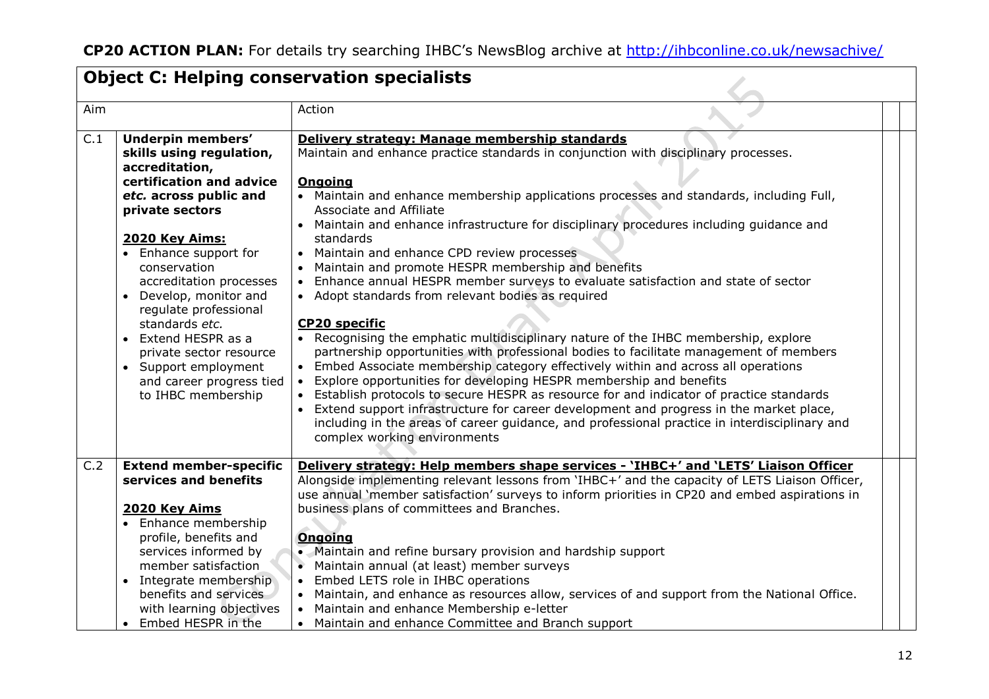|                  |                                                                                                                                                                                                                                                                                                                                                                                                                         | <b>Object C: Helping conservation specialists</b>                                                                                                                                                                                                                                                                                                                                                                                                                                                                                                                                                                                                                                                                                                                                                                                                                                                                                                                                                                                                                                                                                                                                                                                                                                                                                          |
|------------------|-------------------------------------------------------------------------------------------------------------------------------------------------------------------------------------------------------------------------------------------------------------------------------------------------------------------------------------------------------------------------------------------------------------------------|--------------------------------------------------------------------------------------------------------------------------------------------------------------------------------------------------------------------------------------------------------------------------------------------------------------------------------------------------------------------------------------------------------------------------------------------------------------------------------------------------------------------------------------------------------------------------------------------------------------------------------------------------------------------------------------------------------------------------------------------------------------------------------------------------------------------------------------------------------------------------------------------------------------------------------------------------------------------------------------------------------------------------------------------------------------------------------------------------------------------------------------------------------------------------------------------------------------------------------------------------------------------------------------------------------------------------------------------|
| Aim              |                                                                                                                                                                                                                                                                                                                                                                                                                         | Action                                                                                                                                                                                                                                                                                                                                                                                                                                                                                                                                                                                                                                                                                                                                                                                                                                                                                                                                                                                                                                                                                                                                                                                                                                                                                                                                     |
| $\overline{C.1}$ | Underpin members'<br>skills using regulation,<br>accreditation,<br>certification and advice<br>etc. across public and<br>private sectors<br>2020 Key Aims:<br>Enhance support for<br>conservation<br>accreditation processes<br>Develop, monitor and<br>regulate professional<br>standards etc.<br>Extend HESPR as a<br>private sector resource<br>Support employment<br>and career progress tied<br>to IHBC membership | Delivery strategy: Manage membership standards<br>Maintain and enhance practice standards in conjunction with disciplinary processes.<br><b>Ongoing</b><br>• Maintain and enhance membership applications processes and standards, including Full,<br>Associate and Affiliate<br>• Maintain and enhance infrastructure for disciplinary procedures including guidance and<br>standards<br>• Maintain and enhance CPD review processes<br>• Maintain and promote HESPR membership and benefits<br>• Enhance annual HESPR member surveys to evaluate satisfaction and state of sector<br>• Adopt standards from relevant bodies as required<br><b>CP20 specific</b><br>• Recognising the emphatic multidisciplinary nature of the IHBC membership, explore<br>partnership opportunities with professional bodies to facilitate management of members<br>• Embed Associate membership category effectively within and across all operations<br>• Explore opportunities for developing HESPR membership and benefits<br>• Establish protocols to secure HESPR as resource for and indicator of practice standards<br>• Extend support infrastructure for career development and progress in the market place,<br>including in the areas of career guidance, and professional practice in interdisciplinary and<br>complex working environments |
| C.2              | <b>Extend member-specific</b><br>services and benefits                                                                                                                                                                                                                                                                                                                                                                  | Delivery strategy: Help members shape services - 'IHBC+' and 'LETS' Liaison Officer<br>Alongside implementing relevant lessons from 'IHBC+' and the capacity of LETS Liaison Officer,<br>use annual 'member satisfaction' surveys to inform priorities in CP20 and embed aspirations in                                                                                                                                                                                                                                                                                                                                                                                                                                                                                                                                                                                                                                                                                                                                                                                                                                                                                                                                                                                                                                                    |
|                  | 2020 Key Aims<br>Enhance membership<br>$\bullet$<br>profile, benefits and<br>services informed by<br>member satisfaction<br>• Integrate membership<br>benefits and services<br>with learning objectives<br>Embed HESPR in the<br>$\bullet$                                                                                                                                                                              | business plans of committees and Branches.<br><b>Ongoing</b><br>• Maintain and refine bursary provision and hardship support<br>Maintain annual (at least) member surveys<br>• Embed LETS role in IHBC operations<br>• Maintain, and enhance as resources allow, services of and support from the National Office.<br>• Maintain and enhance Membership e-letter<br>• Maintain and enhance Committee and Branch support                                                                                                                                                                                                                                                                                                                                                                                                                                                                                                                                                                                                                                                                                                                                                                                                                                                                                                                    |